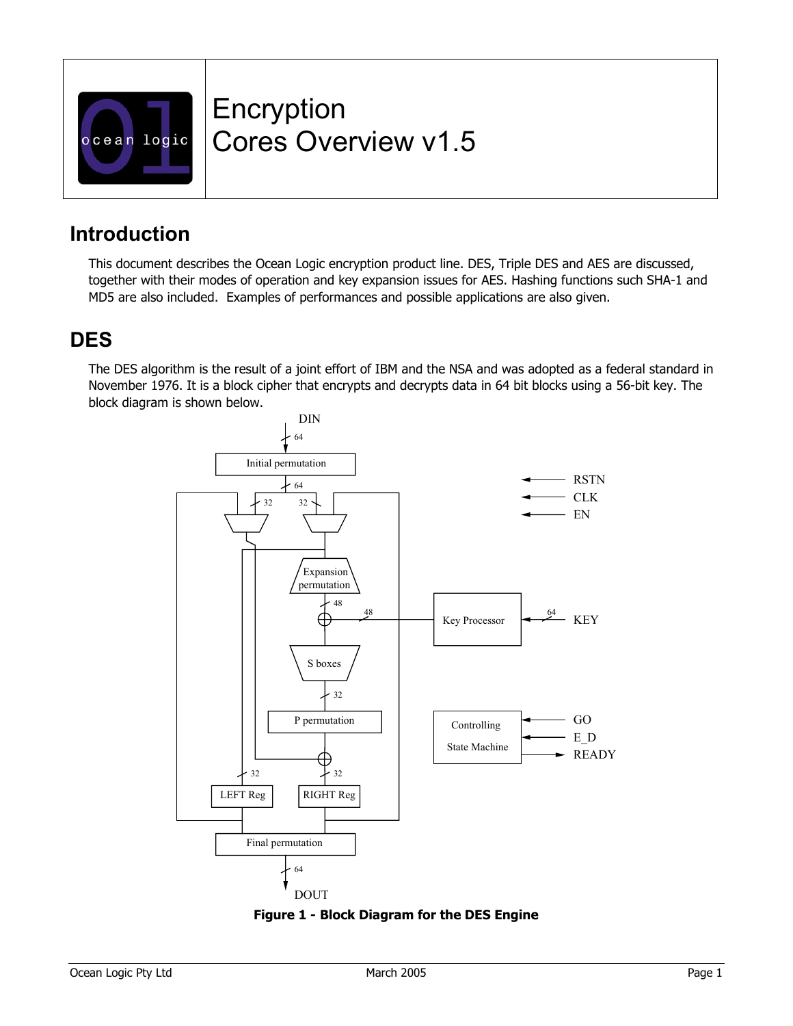

# Encryption Cores Overview v1.5

## **Introduction**

This document describes the Ocean Logic encryption product line. DES, Triple DES and AES are discussed, together with their modes of operation and key expansion issues for AES. Hashing functions such SHA-1 and MD5 are also included. Examples of performances and possible applications are also given.

### **DES**

The DES algorithm is the result of a joint effort of IBM and the NSA and was adopted as a federal standard in November 1976. It is a block cipher that encrypts and decrypts data in 64 bit blocks using a 56-bit key. The block diagram is shown below.



**Figure 1 - Block Diagram for the DES Engine**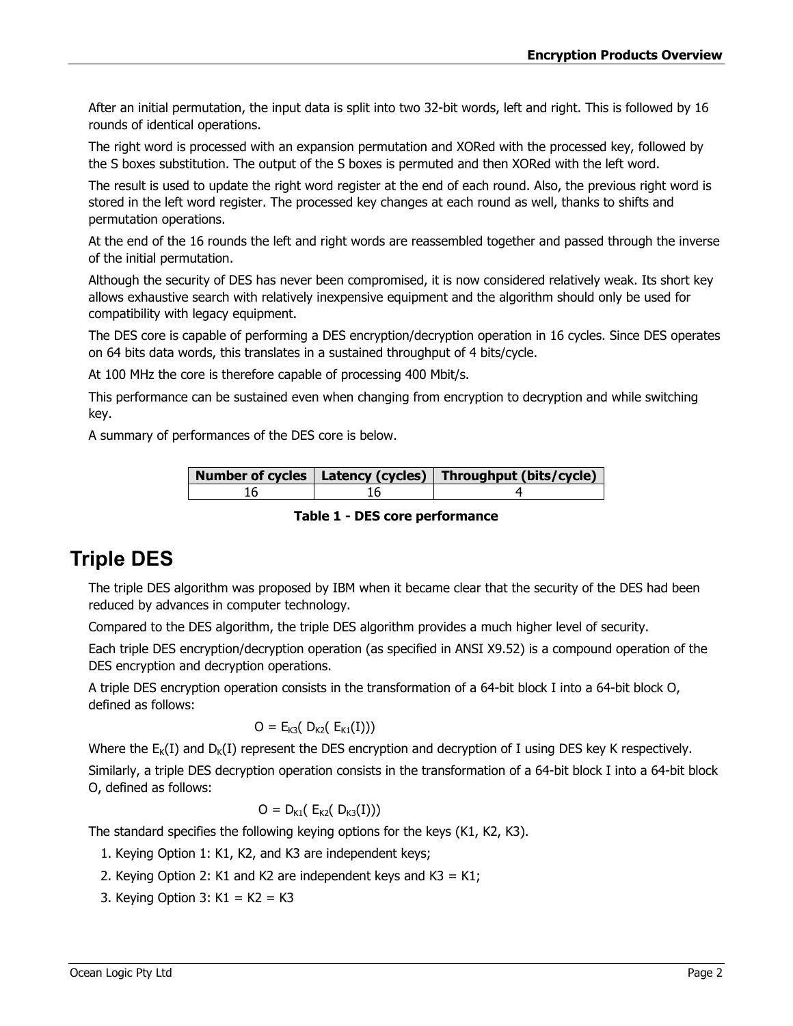After an initial permutation, the input data is split into two 32-bit words, left and right. This is followed by 16 rounds of identical operations.

The right word is processed with an expansion permutation and XORed with the processed key, followed by the S boxes substitution. The output of the S boxes is permuted and then XORed with the left word.

The result is used to update the right word register at the end of each round. Also, the previous right word is stored in the left word register. The processed key changes at each round as well, thanks to shifts and permutation operations.

At the end of the 16 rounds the left and right words are reassembled together and passed through the inverse of the initial permutation.

Although the security of DES has never been compromised, it is now considered relatively weak. Its short key allows exhaustive search with relatively inexpensive equipment and the algorithm should only be used for compatibility with legacy equipment.

The DES core is capable of performing a DES encryption/decryption operation in 16 cycles. Since DES operates on 64 bits data words, this translates in a sustained throughput of 4 bits/cycle.

At 100 MHz the core is therefore capable of processing 400 Mbit/s.

This performance can be sustained even when changing from encryption to decryption and while switching key.

A summary of performances of the DES core is below.

|  | Number of cycles   Latency (cycles)   Throughput (bits/cycle) |
|--|---------------------------------------------------------------|
|  |                                                               |

**Table 1 - DES core performance** 

## **Triple DES**

The triple DES algorithm was proposed by IBM when it became clear that the security of the DES had been reduced by advances in computer technology.

Compared to the DES algorithm, the triple DES algorithm provides a much higher level of security.

Each triple DES encryption/decryption operation (as specified in ANSI X9.52) is a compound operation of the DES encryption and decryption operations.

A triple DES encryption operation consists in the transformation of a 64-bit block I into a 64-bit block O, defined as follows:

$$
O = E_{K3}( D_{K2}( E_{K1}(I)))
$$

Where the  $E_K(I)$  and  $D_K(I)$  represent the DES encryption and decryption of I using DES key K respectively.

Similarly, a triple DES decryption operation consists in the transformation of a 64-bit block I into a 64-bit block O, defined as follows:

$$
O = D_{K1}( E_{K2}( D_{K3}(I)))
$$

The standard specifies the following keying options for the keys (K1, K2, K3).

- 1. Keying Option 1: K1, K2, and K3 are independent keys;
- 2. Keying Option 2: K1 and K2 are independent keys and K3 = K1;
- 3. Keying Option 3:  $K1 = K2 = K3$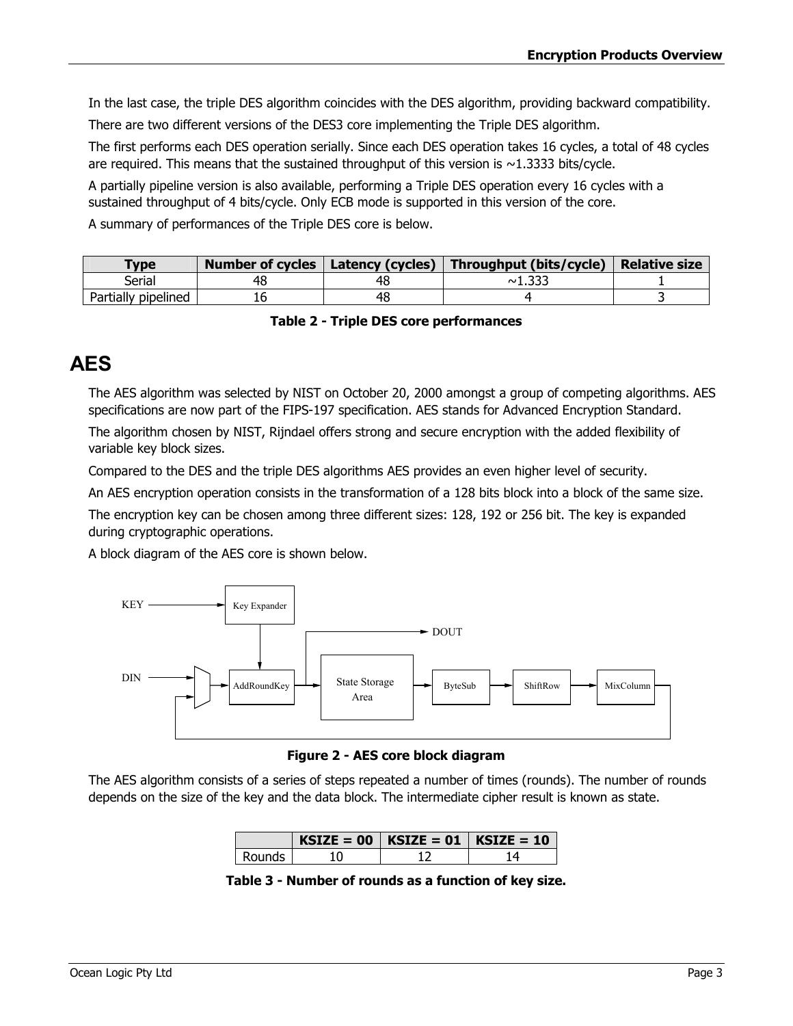In the last case, the triple DES algorithm coincides with the DES algorithm, providing backward compatibility.

There are two different versions of the DES3 core implementing the Triple DES algorithm.

The first performs each DES operation serially. Since each DES operation takes 16 cycles, a total of 48 cycles are required. This means that the sustained throughput of this version is  $\sim$ 1.3333 bits/cycle.

A partially pipeline version is also available, performing a Triple DES operation every 16 cycles with a sustained throughput of 4 bits/cycle. Only ECB mode is supported in this version of the core.

A summary of performances of the Triple DES core is below.

| <b>Type</b>         | <b>Number of cycles</b> | Latency (cycles) | Throughput (bits/cycle)   Relative size |  |
|---------------------|-------------------------|------------------|-----------------------------------------|--|
| Serial              | 48                      | 48               | ~1.333                                  |  |
| Partially pipelined |                         | 48               |                                         |  |

#### **Table 2 - Triple DES core performances**

## **AES**

The AES algorithm was selected by NIST on October 20, 2000 amongst a group of competing algorithms. AES specifications are now part of the FIPS-197 specification. AES stands for Advanced Encryption Standard.

The algorithm chosen by NIST, Rijndael offers strong and secure encryption with the added flexibility of variable key block sizes.

Compared to the DES and the triple DES algorithms AES provides an even higher level of security.

An AES encryption operation consists in the transformation of a 128 bits block into a block of the same size.

The encryption key can be chosen among three different sizes: 128, 192 or 256 bit. The key is expanded during cryptographic operations.

A block diagram of the AES core is shown below.



**Figure 2 - AES core block diagram** 

The AES algorithm consists of a series of steps repeated a number of times (rounds). The number of rounds depends on the size of the key and the data block. The intermediate cipher result is known as state.

**Table 3 - Number of rounds as a function of key size.**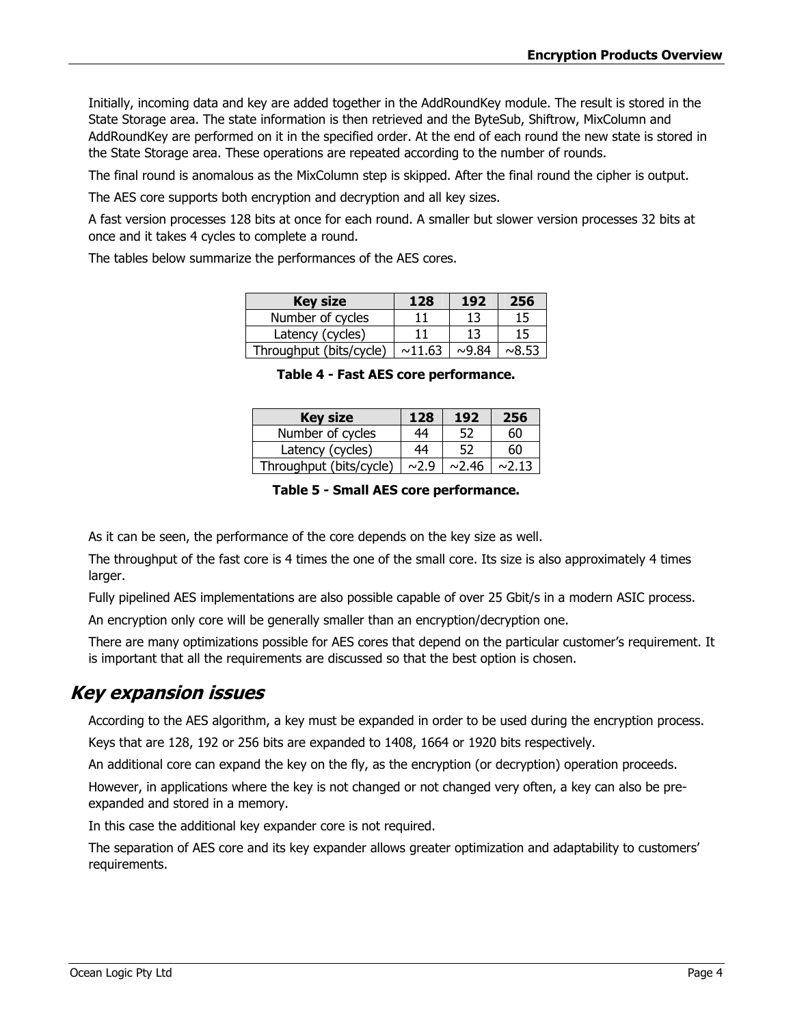Initially, incoming data and key are added together in the AddRoundKey module. The result is stored in the State Storage area. The state information is then retrieved and the ByteSub, Shiftrow, MixColumn and AddRoundKey are performed on it in the specified order. At the end of each round the new state is stored in the State Storage area. These operations are repeated according to the number of rounds.

The final round is anomalous as the MixColumn step is skipped. After the final round the cipher is output.

The AES core supports both encryption and decryption and all key sizes.

A fast version processes 128 bits at once for each round. A smaller but slower version processes 32 bits at once and it takes 4 cycles to complete a round.

The tables below summarize the performances of the AES cores.

| <b>Key size</b>         | 128    | 192    | 256   |
|-------------------------|--------|--------|-------|
| Number of cycles        |        | 13     | 15    |
| Latency (cycles)        |        | 13     | 15    |
| Throughput (bits/cycle) | ~11.63 | ~10.84 | ~8.53 |

**Table 4 - Fast AES core performance.** 

| <b>Key size</b>         | 128    | 192   | 256   |
|-------------------------|--------|-------|-------|
| Number of cycles        | 44     | 52    | 60    |
| Latency (cycles)        | 44     | 52    | 60    |
| Throughput (bits/cycle) | ~0.2.9 | ~2.46 | ~2.13 |

**Table 5 - Small AES core performance.** 

As it can be seen, the performance of the core depends on the key size as well.

The throughput of the fast core is 4 times the one of the small core. Its size is also approximately 4 times larger.

Fully pipelined AES implementations are also possible capable of over 25 Gbit/s in a modern ASIC process.

An encryption only core will be generally smaller than an encryption/decryption one.

There are many optimizations possible for AES cores that depend on the particular customer's requirement. It is important that all the requirements are discussed so that the best option is chosen.

#### **Key expansion issues**

According to the AES algorithm, a key must be expanded in order to be used during the encryption process.

Keys that are 128, 192 or 256 bits are expanded to 1408, 1664 or 1920 bits respectively.

An additional core can expand the key on the fly, as the encryption (or decryption) operation proceeds.

However, in applications where the key is not changed or not changed very often, a key can also be preexpanded and stored in a memory.

In this case the additional key expander core is not required.

The separation of AES core and its key expander allows greater optimization and adaptability to customers' requirements.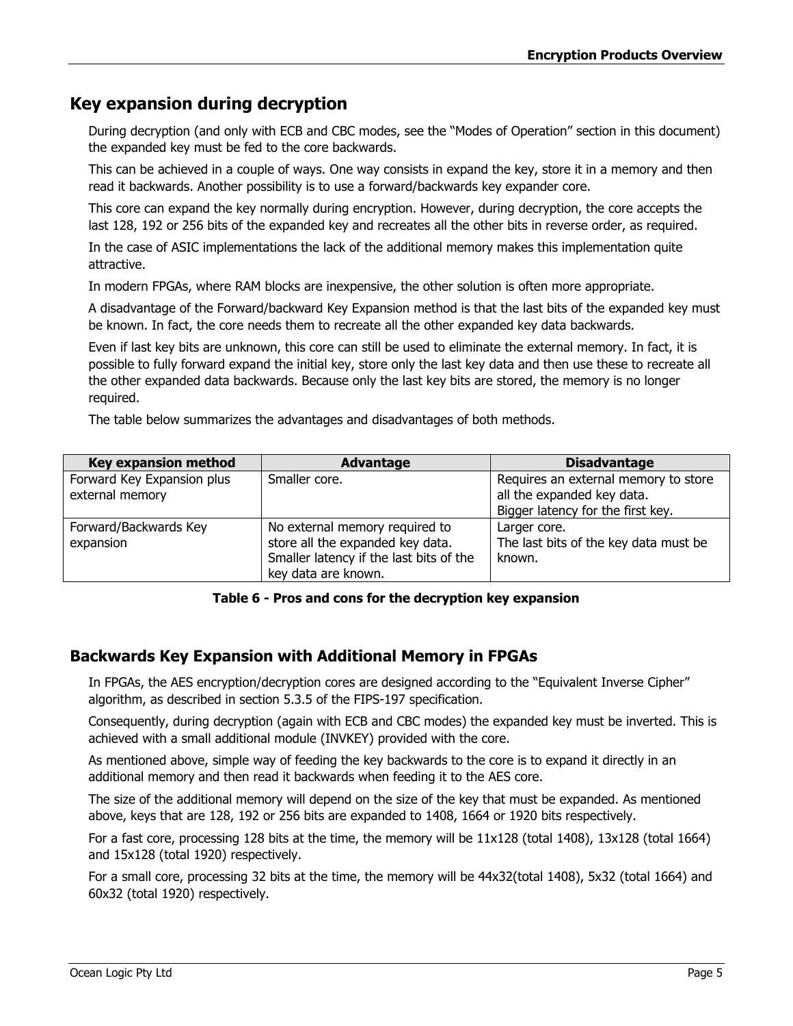#### **Key expansion during decryption**

During decryption (and only with ECB and CBC modes, see the "Modes of Operation" section in this document) the expanded key must be fed to the core backwards.

This can be achieved in a couple of ways. One way consists in expand the key, store it in a memory and then read it backwards. Another possibility is to use a forward/backwards key expander core.

This core can expand the key normally during encryption. However, during decryption, the core accepts the last 128, 192 or 256 bits of the expanded key and recreates all the other bits in reverse order, as required.

In the case of ASIC implementations the lack of the additional memory makes this implementation quite attractive.

In modern FPGAs, where RAM blocks are inexpensive, the other solution is often more appropriate.

A disadvantage of the Forward/backward Key Expansion method is that the last bits of the expanded key must be known. In fact, the core needs them to recreate all the other expanded key data backwards.

Even if last key bits are unknown, this core can still be used to eliminate the external memory. In fact, it is possible to fully forward expand the initial key, store only the last key data and then use these to recreate all the other expanded data backwards. Because only the last key bits are stored, the memory is no longer required.

The table below summarizes the advantages and disadvantages of both methods.

| <b>Key expansion method</b> | <b>Advantage</b>                        | <b>Disadvantage</b>                   |
|-----------------------------|-----------------------------------------|---------------------------------------|
| Forward Key Expansion plus  | Smaller core.                           | Requires an external memory to store  |
| external memory             |                                         | all the expanded key data.            |
|                             |                                         | Bigger latency for the first key.     |
| Forward/Backwards Key       | No external memory required to          | Larger core.                          |
| expansion                   | store all the expanded key data.        | The last bits of the key data must be |
|                             | Smaller latency if the last bits of the | known.                                |
|                             | key data are known.                     |                                       |

#### **Table 6 - Pros and cons for the decryption key expansion**

#### **Backwards Key Expansion with Additional Memory in FPGAs**

In FPGAs, the AES encryption/decryption cores are designed according to the "Equivalent Inverse Cipher" algorithm, as described in section 5.3.5 of the FIPS-197 specification.

Consequently, during decryption (again with ECB and CBC modes) the expanded key must be inverted. This is achieved with a small additional module (INVKEY) provided with the core.

As mentioned above, simple way of feeding the key backwards to the core is to expand it directly in an additional memory and then read it backwards when feeding it to the AES core.

The size of the additional memory will depend on the size of the key that must be expanded. As mentioned above, keys that are 128, 192 or 256 bits are expanded to 1408, 1664 or 1920 bits respectively.

For a fast core, processing 128 bits at the time, the memory will be 11x128 (total 1408), 13x128 (total 1664) and 15x128 (total 1920) respectively.

For a small core, processing 32 bits at the time, the memory will be 44x32(total 1408), 5x32 (total 1664) and 60x32 (total 1920) respectively.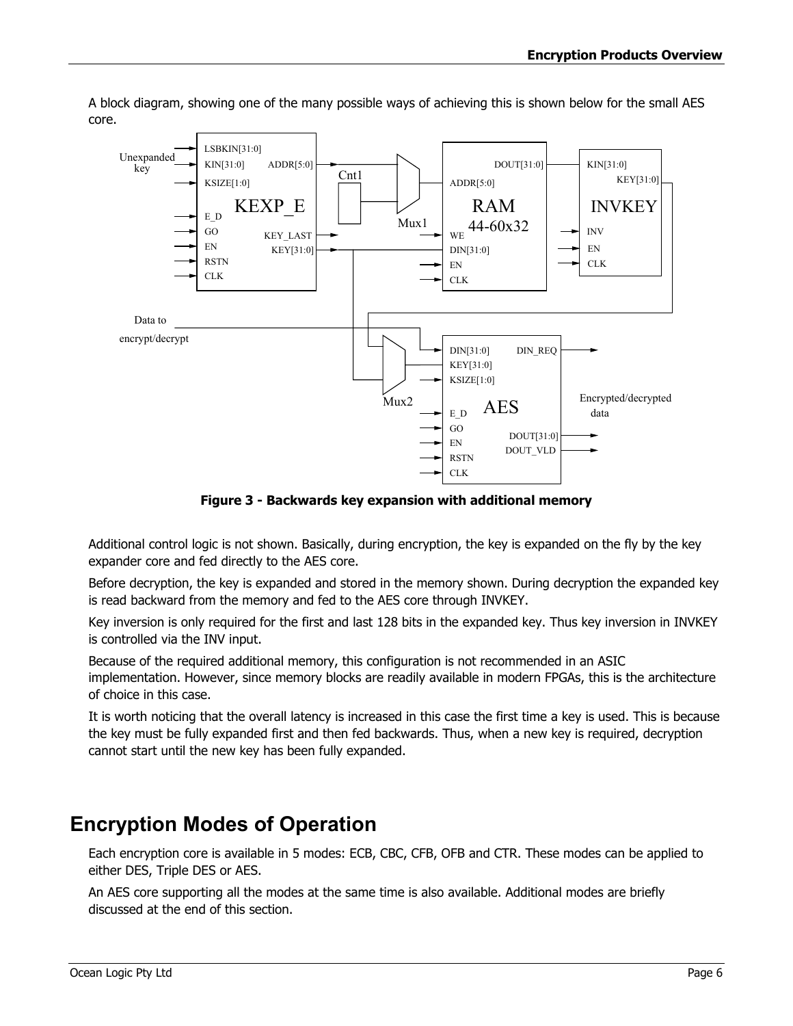

A block diagram, showing one of the many possible ways of achieving this is shown below for the small AES core.

**Figure 3 - Backwards key expansion with additional memory** 

Additional control logic is not shown. Basically, during encryption, the key is expanded on the fly by the key expander core and fed directly to the AES core.

Before decryption, the key is expanded and stored in the memory shown. During decryption the expanded key is read backward from the memory and fed to the AES core through INVKEY.

Key inversion is only required for the first and last 128 bits in the expanded key. Thus key inversion in INVKEY is controlled via the INV input.

Because of the required additional memory, this configuration is not recommended in an ASIC implementation. However, since memory blocks are readily available in modern FPGAs, this is the architecture of choice in this case.

It is worth noticing that the overall latency is increased in this case the first time a key is used. This is because the key must be fully expanded first and then fed backwards. Thus, when a new key is required, decryption cannot start until the new key has been fully expanded.

## **Encryption Modes of Operation**

Each encryption core is available in 5 modes: ECB, CBC, CFB, OFB and CTR. These modes can be applied to either DES, Triple DES or AES.

An AES core supporting all the modes at the same time is also available. Additional modes are briefly discussed at the end of this section.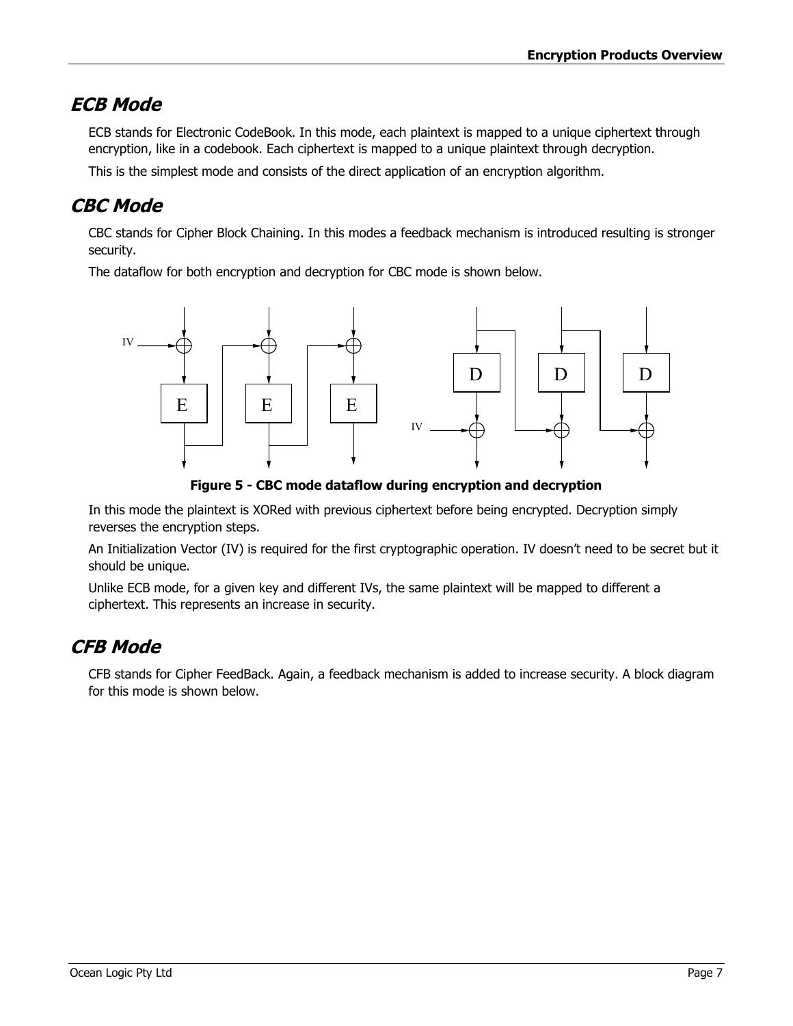#### **ECB Mode**

ECB stands for Electronic CodeBook. In this mode, each plaintext is mapped to a unique ciphertext through encryption, like in a codebook. Each ciphertext is mapped to a unique plaintext through decryption.

This is the simplest mode and consists of the direct application of an encryption algorithm.

### **CBC Mode**

CBC stands for Cipher Block Chaining. In this modes a feedback mechanism is introduced resulting is stronger security.

The dataflow for both encryption and decryption for CBC mode is shown below.



**Figure 5 - CBC mode dataflow during encryption and decryption** 

In this mode the plaintext is XORed with previous ciphertext before being encrypted. Decryption simply reverses the encryption steps.

An Initialization Vector (IV) is required for the first cryptographic operation. IV doesn't need to be secret but it should be unique.

Unlike ECB mode, for a given key and different IVs, the same plaintext will be mapped to different a ciphertext. This represents an increase in security.

## **CFB Mode**

CFB stands for Cipher FeedBack. Again, a feedback mechanism is added to increase security. A block diagram for this mode is shown below.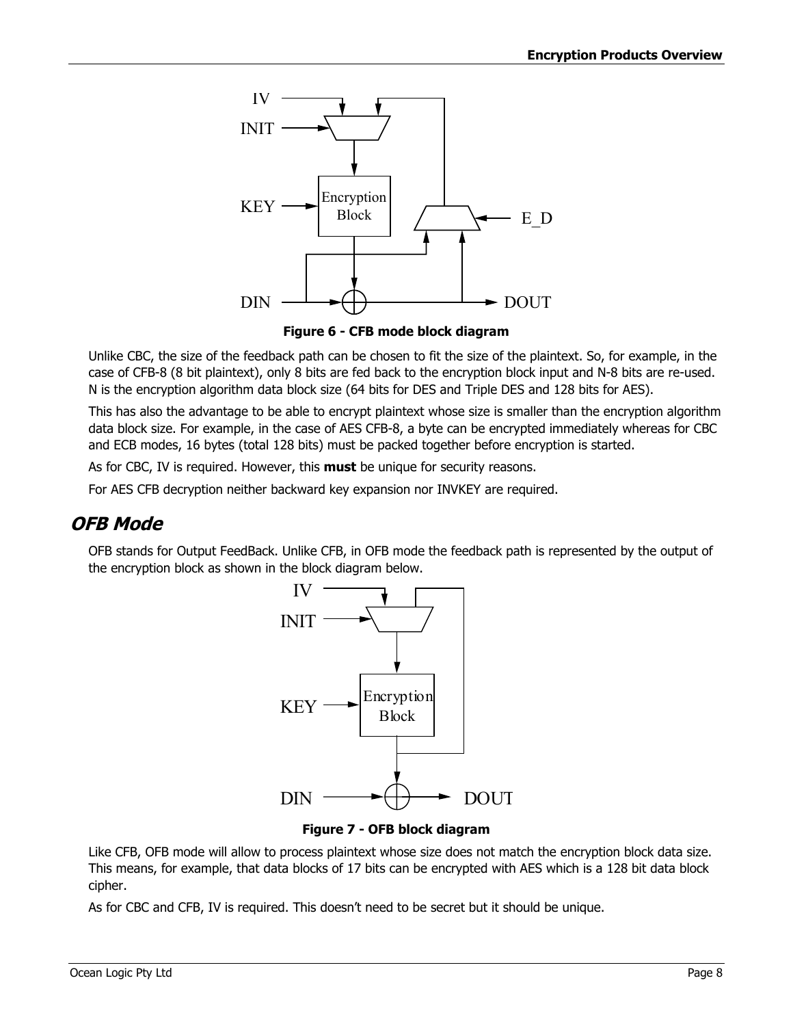

**Figure 6 - CFB mode block diagram** 

Unlike CBC, the size of the feedback path can be chosen to fit the size of the plaintext. So, for example, in the case of CFB-8 (8 bit plaintext), only 8 bits are fed back to the encryption block input and N-8 bits are re-used. N is the encryption algorithm data block size (64 bits for DES and Triple DES and 128 bits for AES).

This has also the advantage to be able to encrypt plaintext whose size is smaller than the encryption algorithm data block size. For example, in the case of AES CFB-8, a byte can be encrypted immediately whereas for CBC and ECB modes, 16 bytes (total 128 bits) must be packed together before encryption is started.

As for CBC, IV is required. However, this **must** be unique for security reasons.

For AES CFB decryption neither backward key expansion nor INVKEY are required.

#### **OFB Mode**

OFB stands for Output FeedBack. Unlike CFB, in OFB mode the feedback path is represented by the output of the encryption block as shown in the block diagram below.



**Figure 7 - OFB block diagram** 

Like CFB, OFB mode will allow to process plaintext whose size does not match the encryption block data size. This means, for example, that data blocks of 17 bits can be encrypted with AES which is a 128 bit data block cipher.

As for CBC and CFB, IV is required. This doesn't need to be secret but it should be unique.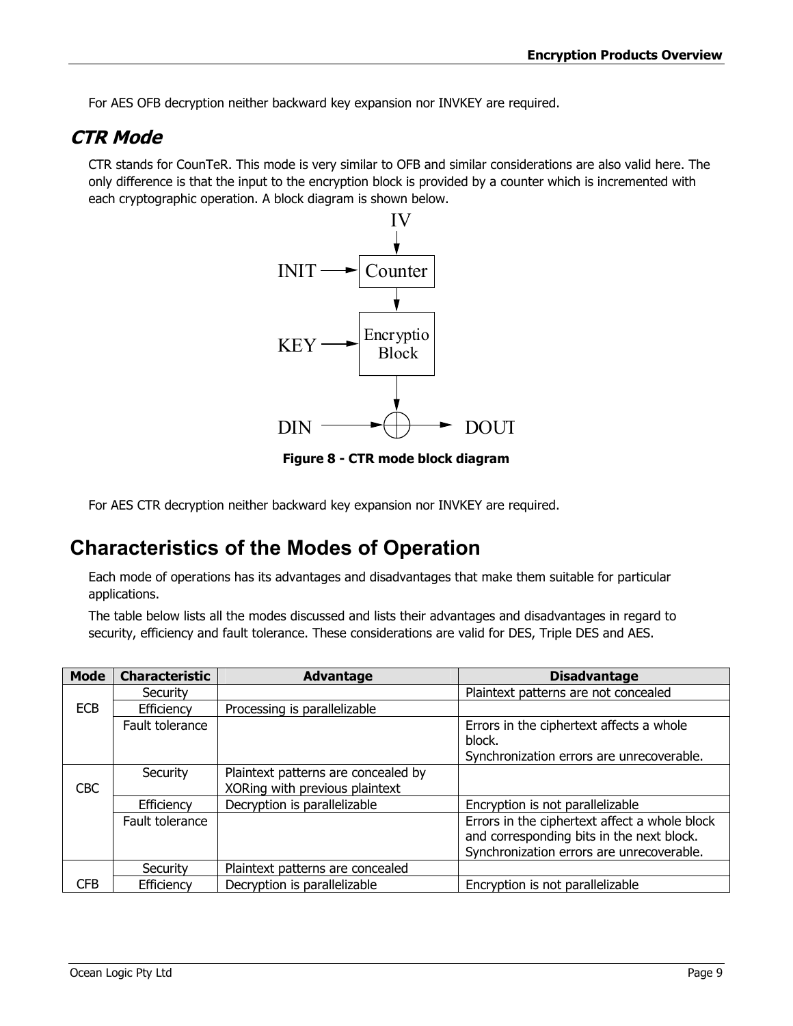For AES OFB decryption neither backward key expansion nor INVKEY are required.

#### **CTR Mode**

CTR stands for CounTeR. This mode is very similar to OFB and similar considerations are also valid here. The only difference is that the input to the encryption block is provided by a counter which is incremented with each cryptographic operation. A block diagram is shown below.



**Figure 8 - CTR mode block diagram** 

For AES CTR decryption neither backward key expansion nor INVKEY are required.

## **Characteristics of the Modes of Operation**

Each mode of operations has its advantages and disadvantages that make them suitable for particular applications.

The table below lists all the modes discussed and lists their advantages and disadvantages in regard to security, efficiency and fault tolerance. These considerations are valid for DES, Triple DES and AES.

| <b>Mode</b>     | <b>Characteristic</b> | <b>Advantage</b>                    | <b>Disadvantage</b>                                                                             |
|-----------------|-----------------------|-------------------------------------|-------------------------------------------------------------------------------------------------|
|                 | Security              |                                     | Plaintext patterns are not concealed                                                            |
| <b>ECB</b>      | Efficiency            | Processing is parallelizable        |                                                                                                 |
|                 | Fault tolerance       |                                     | Errors in the ciphertext affects a whole<br>block.<br>Synchronization errors are unrecoverable. |
|                 | Security              | Plaintext patterns are concealed by |                                                                                                 |
| C <sub>BC</sub> |                       | XORing with previous plaintext      |                                                                                                 |
|                 | Efficiency            | Decryption is parallelizable        | Encryption is not parallelizable                                                                |
|                 | Fault tolerance       |                                     | Errors in the ciphertext affect a whole block                                                   |
|                 |                       |                                     | and corresponding bits in the next block.                                                       |
|                 |                       |                                     | Synchronization errors are unrecoverable.                                                       |
|                 | Security              | Plaintext patterns are concealed    |                                                                                                 |
| CFB             | Efficiency            | Decryption is parallelizable        | Encryption is not parallelizable                                                                |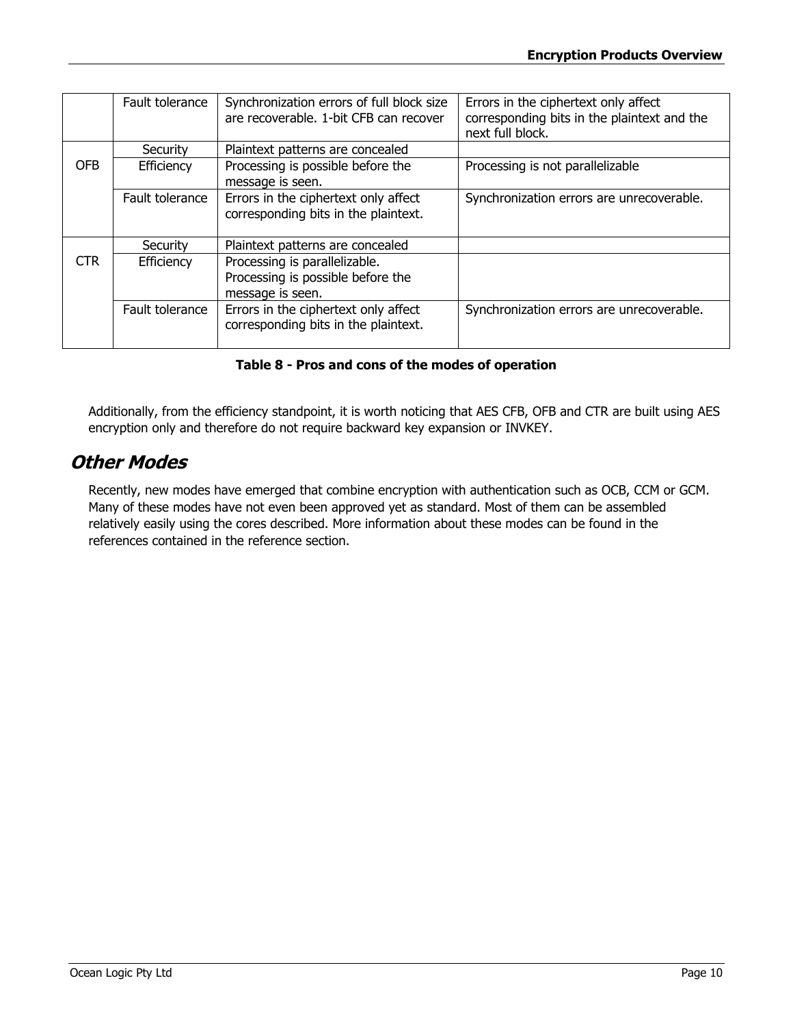|            | Fault tolerance | Synchronization errors of full block size<br>are recoverable. 1-bit CFB can recover    | Errors in the ciphertext only affect<br>corresponding bits in the plaintext and the<br>next full block. |
|------------|-----------------|----------------------------------------------------------------------------------------|---------------------------------------------------------------------------------------------------------|
|            | Security        | Plaintext patterns are concealed                                                       |                                                                                                         |
| <b>OFB</b> | Efficiency      | Processing is possible before the<br>message is seen.                                  | Processing is not parallelizable                                                                        |
|            | Fault tolerance | Errors in the ciphertext only affect<br>corresponding bits in the plaintext.           | Synchronization errors are unrecoverable.                                                               |
|            | Security        | Plaintext patterns are concealed                                                       |                                                                                                         |
| CTR.       | Efficiency      | Processing is parallelizable.<br>Processing is possible before the<br>message is seen. |                                                                                                         |
|            | Fault tolerance | Errors in the ciphertext only affect<br>corresponding bits in the plaintext.           | Synchronization errors are unrecoverable.                                                               |

**Table 8 - Pros and cons of the modes of operation** 

Additionally, from the efficiency standpoint, it is worth noticing that AES CFB, OFB and CTR are built using AES encryption only and therefore do not require backward key expansion or INVKEY.

#### **Other Modes**

Recently, new modes have emerged that combine encryption with authentication such as OCB, CCM or GCM. Many of these modes have not even been approved yet as standard. Most of them can be assembled relatively easily using the cores described. More information about these modes can be found in the references contained in the reference section.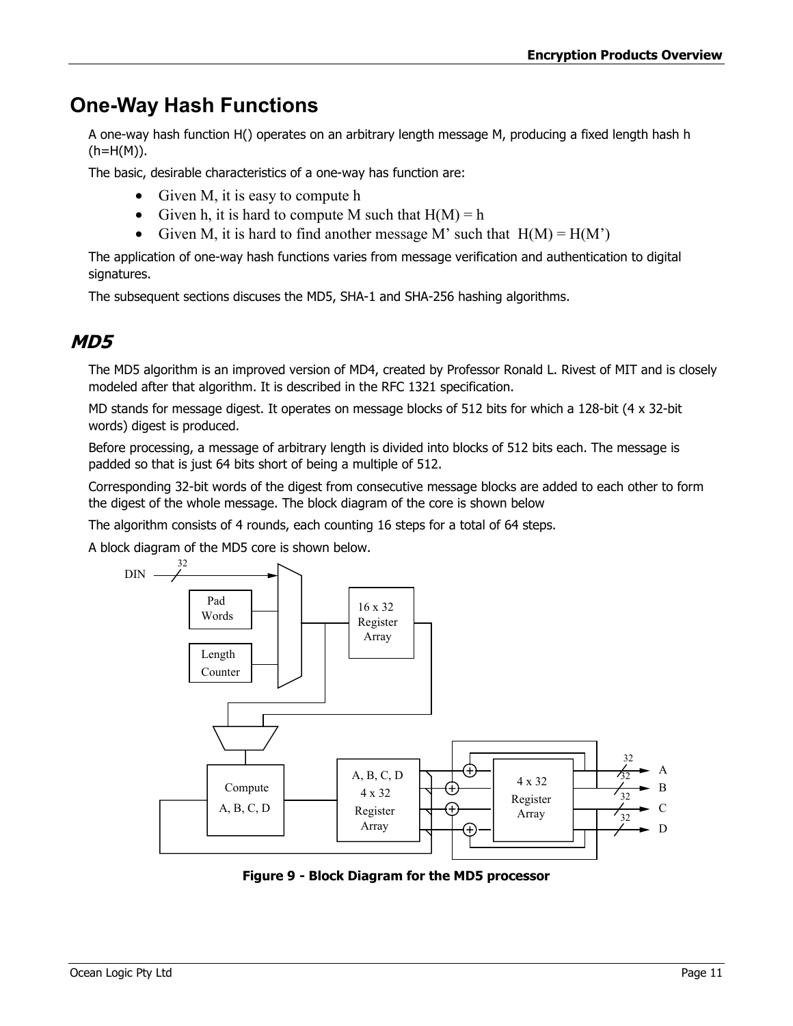## **One-Way Hash Functions**

A one-way hash function H() operates on an arbitrary length message M, producing a fixed length hash h  $(h=H(M))$ .

The basic, desirable characteristics of a one-way has function are:

- Given M, it is easy to compute h
- Given h, it is hard to compute M such that  $H(M) = h$
- Given M, it is hard to find another message M' such that  $H(M) = H(M')$

The application of one-way hash functions varies from message verification and authentication to digital signatures.

The subsequent sections discuses the MD5, SHA-1 and SHA-256 hashing algorithms.

#### **MD5**

The MD5 algorithm is an improved version of MD4, created by Professor Ronald L. Rivest of MIT and is closely modeled after that algorithm. It is described in the RFC 1321 specification.

MD stands for message digest. It operates on message blocks of 512 bits for which a 128-bit (4 x 32-bit words) digest is produced.

Before processing, a message of arbitrary length is divided into blocks of 512 bits each. The message is padded so that is just 64 bits short of being a multiple of 512.

Corresponding 32-bit words of the digest from consecutive message blocks are added to each other to form the digest of the whole message. The block diagram of the core is shown below

The algorithm consists of 4 rounds, each counting 16 steps for a total of 64 steps.

A block diagram of the MD5 core is shown below.



**Figure 9 - Block Diagram for the MD5 processor**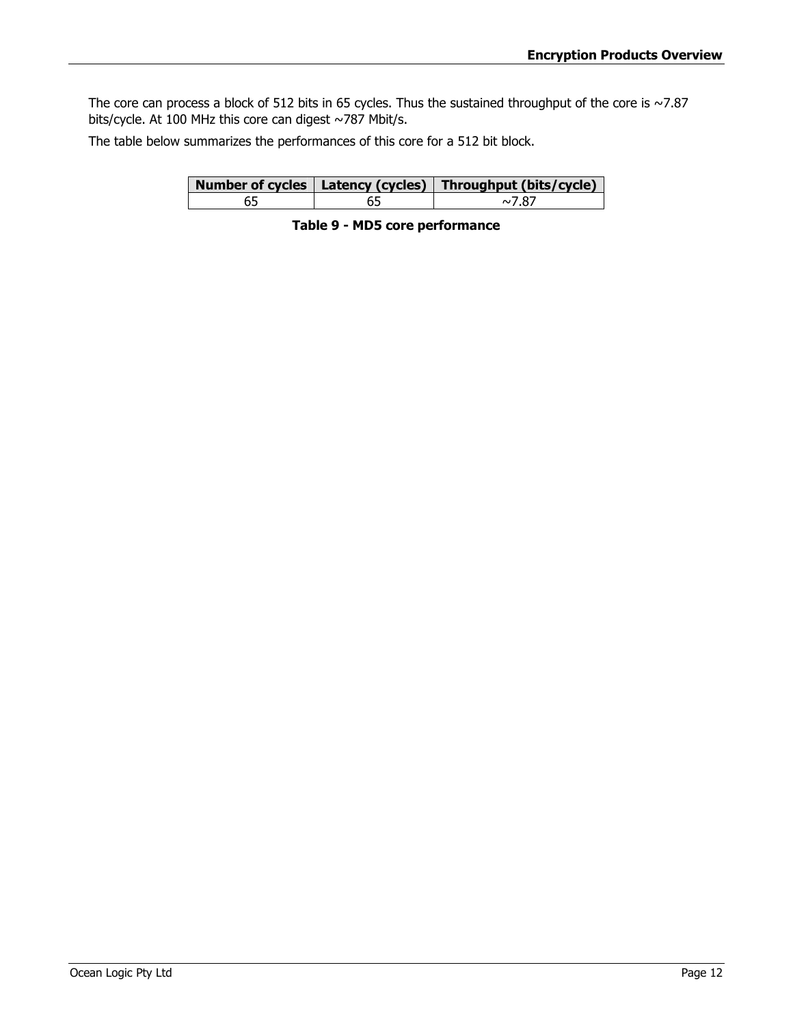The core can process a block of 512 bits in 65 cycles. Thus the sustained throughput of the core is  $\sim$ 7.87 bits/cycle. At 100 MHz this core can digest ~787 Mbit/s.

The table below summarizes the performances of this core for a 512 bit block.

|  | Number of cycles   Latency (cycles)   Throughput (bits/cycle) |
|--|---------------------------------------------------------------|
|  | ∼7 87                                                         |

**Table 9 - MD5 core performance**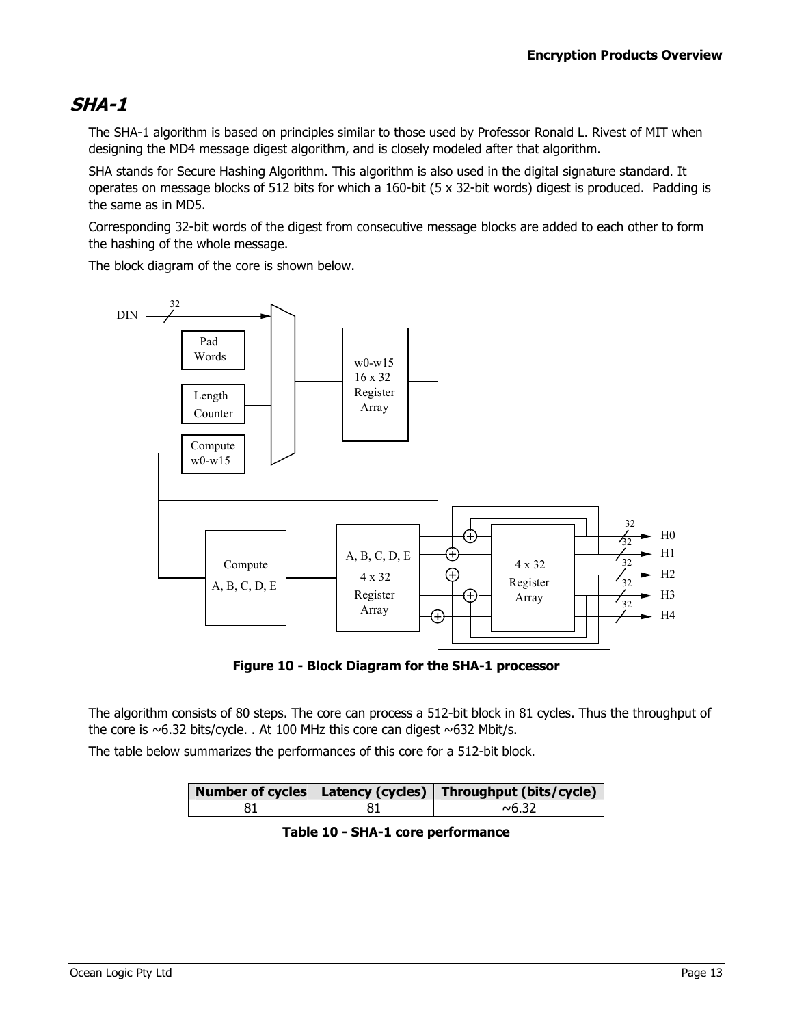#### **SHA-1**

The SHA-1 algorithm is based on principles similar to those used by Professor Ronald L. Rivest of MIT when designing the MD4 message digest algorithm, and is closely modeled after that algorithm.

SHA stands for Secure Hashing Algorithm. This algorithm is also used in the digital signature standard. It operates on message blocks of 512 bits for which a 160-bit (5 x 32-bit words) digest is produced. Padding is the same as in MD5.

Corresponding 32-bit words of the digest from consecutive message blocks are added to each other to form the hashing of the whole message.

The block diagram of the core is shown below.



**Figure 10 - Block Diagram for the SHA-1 processor**

The algorithm consists of 80 steps. The core can process a 512-bit block in 81 cycles. Thus the throughput of the core is  $\sim$  6.32 bits/cycle. . At 100 MHz this core can digest  $\sim$  632 Mbit/s.

The table below summarizes the performances of this core for a 512-bit block.

|  | Number of cycles   Latency (cycles)   Throughput (bits/cycle) |
|--|---------------------------------------------------------------|
|  | $~\sim$ 6.32                                                  |

**Table 10 - SHA-1 core performance**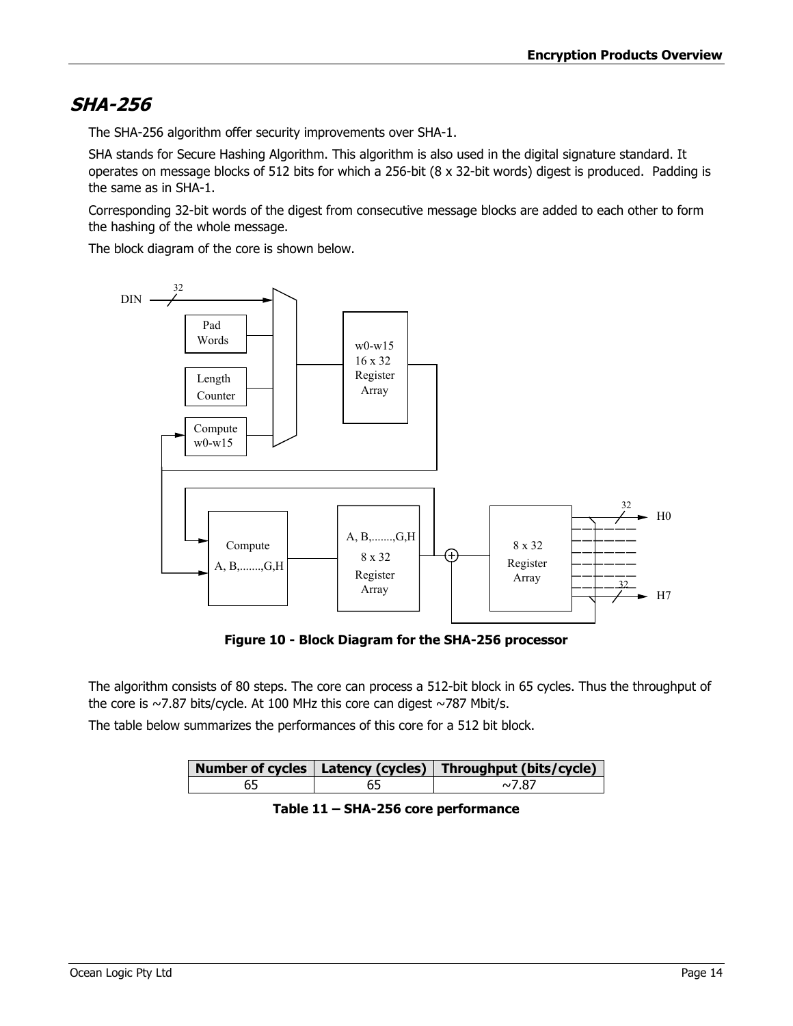### **SHA-256**

The SHA-256 algorithm offer security improvements over SHA-1.

SHA stands for Secure Hashing Algorithm. This algorithm is also used in the digital signature standard. It operates on message blocks of 512 bits for which a 256-bit (8 x 32-bit words) digest is produced. Padding is the same as in SHA-1.

Corresponding 32-bit words of the digest from consecutive message blocks are added to each other to form the hashing of the whole message.

The block diagram of the core is shown below.



**Figure 10 - Block Diagram for the SHA-256 processor**

The algorithm consists of 80 steps. The core can process a 512-bit block in 65 cycles. Thus the throughput of the core is  $\sim$ 7.87 bits/cycle. At 100 MHz this core can digest  $\sim$ 787 Mbit/s.

The table below summarizes the performances of this core for a 512 bit block.

|  | Number of cycles   Latency (cycles)   Throughput (bits/cycle) |
|--|---------------------------------------------------------------|
|  | $\sim$ 7.87                                                   |

**Table 11 – SHA-256 core performance**